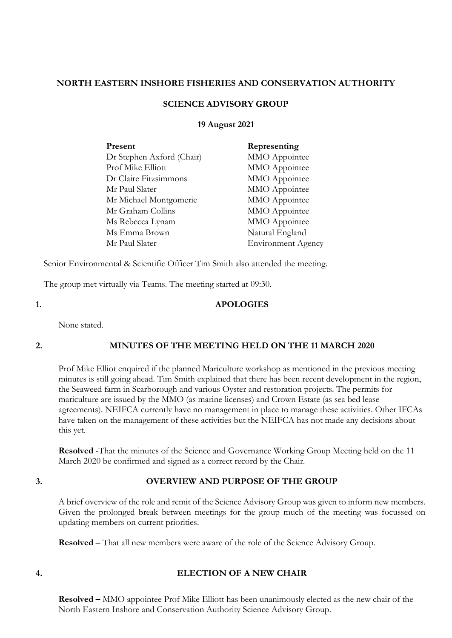#### **NORTH EASTERN INSHORE FISHERIES AND CONSERVATION AUTHORITY**

## **SCIENCE ADVISORY GROUP**

#### **19 August 2021**

| Representing              |
|---------------------------|
| MMO Appointee             |
| MMO Appointee             |
| MMO Appointee             |
| MMO Appointee             |
| MMO Appointee             |
| MMO Appointee             |
| MMO Appointee             |
| Natural England           |
| <b>Environment Agency</b> |
|                           |

Senior Environmental & Scientific Officer Tim Smith also attended the meeting.

The group met virtually via Teams. The meeting started at 09:30.

#### **1. APOLOGIES**

None stated.

## **2. MINUTES OF THE MEETING HELD ON THE 11 MARCH 2020**

Prof Mike Elliot enquired if the planned Mariculture workshop as mentioned in the previous meeting minutes is still going ahead. Tim Smith explained that there has been recent development in the region, the Seaweed farm in Scarborough and various Oyster and restoration projects. The permits for mariculture are issued by the MMO (as marine licenses) and Crown Estate (as sea bed lease agreements). NEIFCA currently have no management in place to manage these activities. Other IFCAs have taken on the management of these activities but the NEIFCA has not made any decisions about this yet.

**Resolved** -That the minutes of the Science and Governance Working Group Meeting held on the 11 March 2020 be confirmed and signed as a correct record by the Chair.

#### **3. OVERVIEW AND PURPOSE OF THE GROUP**

A brief overview of the role and remit of the Science Advisory Group was given to inform new members. Given the prolonged break between meetings for the group much of the meeting was focussed on updating members on current priorities.

**Resolved** – That all new members were aware of the role of the Science Advisory Group.

## **4. ELECTION OF A NEW CHAIR**

**Resolved –** MMO appointee Prof Mike Elliott has been unanimously elected as the new chair of the North Eastern Inshore and Conservation Authority Science Advisory Group.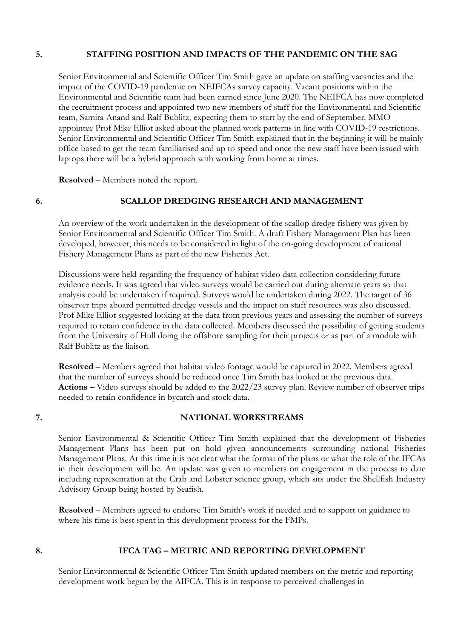## **5. STAFFING POSITION AND IMPACTS OF THE PANDEMIC ON THE SAG**

Senior Environmental and Scientific Officer Tim Smith gave an update on staffing vacancies and the impact of the COVID-19 pandemic on NEIFCAs survey capacity. Vacant positions within the Environmental and Scientific team had been carried since June 2020. The NEIFCA has now completed the recruitment process and appointed two new members of staff for the Environmental and Scientific team, Samira Anand and Ralf Bublitz, expecting them to start by the end of September. MMO appointee Prof Mike Elliot asked about the planned work patterns in line with COVID-19 restrictions. Senior Environmental and Scientific Officer Tim Smith explained that in the beginning it will be mainly office based to get the team familiarised and up to speed and once the new staff have been issued with laptops there will be a hybrid approach with working from home at times.

**Resolved** – Members noted the report.

## **6. SCALLOP DREDGING RESEARCH AND MANAGEMENT**

An overview of the work undertaken in the development of the scallop dredge fishery was given by Senior Environmental and Scientific Officer Tim Smith. A draft Fishery Management Plan has been developed, however, this needs to be considered in light of the on-going development of national Fishery Management Plans as part of the new Fisheries Act.

Discussions were held regarding the frequency of habitat video data collection considering future evidence needs. It was agreed that video surveys would be carried out during alternate years so that analysis could be undertaken if required. Surveys would be undertaken during 2022. The target of 36 observer trips aboard permitted dredge vessels and the impact on staff resources was also discussed. Prof Mike Elliot suggested looking at the data from previous years and assessing the number of surveys required to retain confidence in the data collected. Members discussed the possibility of getting students from the University of Hull doing the offshore sampling for their projects or as part of a module with Ralf Bublitz as the liaison.

**Resolved** – Members agreed that habitat video footage would be captured in 2022. Members agreed that the number of surveys should be reduced once Tim Smith has looked at the previous data. **Actions –** Video surveys should be added to the 2022/23 survey plan. Review number of observer trips needed to retain confidence in bycatch and stock data.

## **7. NATIONAL WORKSTREAMS**

Senior Environmental & Scientific Officer Tim Smith explained that the development of Fisheries Management Plans has been put on hold given announcements surrounding national Fisheries Management Plans. At this time it is not clear what the format of the plans or what the role of the IFCAs in their development will be. An update was given to members on engagement in the process to date including representation at the Crab and Lobster science group, which sits under the Shellfish Industry Advisory Group being hosted by Seafish.

**Resolved** – Members agreed to endorse Tim Smith's work if needed and to support on guidance to where his time is best spent in this development process for the FMPs.

## **8. IFCA TAG – METRIC AND REPORTING DEVELOPMENT**

Senior Environmental & Scientific Officer Tim Smith updated members on the metric and reporting development work begun by the AIFCA. This is in response to perceived challenges in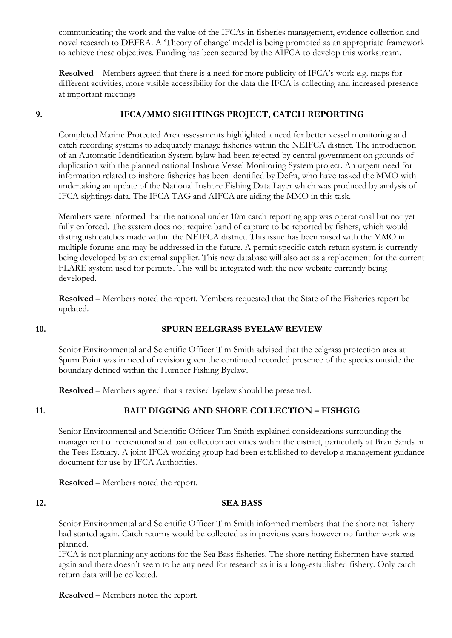communicating the work and the value of the IFCAs in fisheries management, evidence collection and novel research to DEFRA. A 'Theory of change' model is being promoted as an appropriate framework to achieve these objectives. Funding has been secured by the AIFCA to develop this workstream.

**Resolved** – Members agreed that there is a need for more publicity of IFCA's work e.g. maps for different activities, more visible accessibility for the data the IFCA is collecting and increased presence at important meetings

# **9. IFCA/MMO SIGHTINGS PROJECT, CATCH REPORTING**

Completed Marine Protected Area assessments highlighted a need for better vessel monitoring and catch recording systems to adequately manage fisheries within the NEIFCA district. The introduction of an Automatic Identification System bylaw had been rejected by central government on grounds of duplication with the planned national Inshore Vessel Monitoring System project. An urgent need for information related to inshore fisheries has been identified by Defra, who have tasked the MMO with undertaking an update of the National Inshore Fishing Data Layer which was produced by analysis of IFCA sightings data. The IFCA TAG and AIFCA are aiding the MMO in this task.

Members were informed that the national under 10m catch reporting app was operational but not yet fully enforced. The system does not require band of capture to be reported by fishers, which would distinguish catches made within the NEIFCA district. This issue has been raised with the MMO in multiple forums and may be addressed in the future. A permit specific catch return system is currently being developed by an external supplier. This new database will also act as a replacement for the current FLARE system used for permits. This will be integrated with the new website currently being developed.

**Resolved** – Members noted the report. Members requested that the State of the Fisheries report be updated.

## **10. SPURN EELGRASS BYELAW REVIEW**

Senior Environmental and Scientific Officer Tim Smith advised that the eelgrass protection area at Spurn Point was in need of revision given the continued recorded presence of the species outside the boundary defined within the Humber Fishing Byelaw.

**Resolved** – Members agreed that a revised byelaw should be presented.

# **11. BAIT DIGGING AND SHORE COLLECTION – FISHGIG**

Senior Environmental and Scientific Officer Tim Smith explained considerations surrounding the management of recreational and bait collection activities within the district, particularly at Bran Sands in the Tees Estuary. A joint IFCA working group had been established to develop a management guidance document for use by IFCA Authorities.

**Resolved** – Members noted the report.

## **12. SEA BASS**

Senior Environmental and Scientific Officer Tim Smith informed members that the shore net fishery had started again. Catch returns would be collected as in previous years however no further work was planned.

IFCA is not planning any actions for the Sea Bass fisheries. The shore netting fishermen have started again and there doesn't seem to be any need for research as it is a long-established fishery. Only catch return data will be collected.

**Resolved** – Members noted the report.